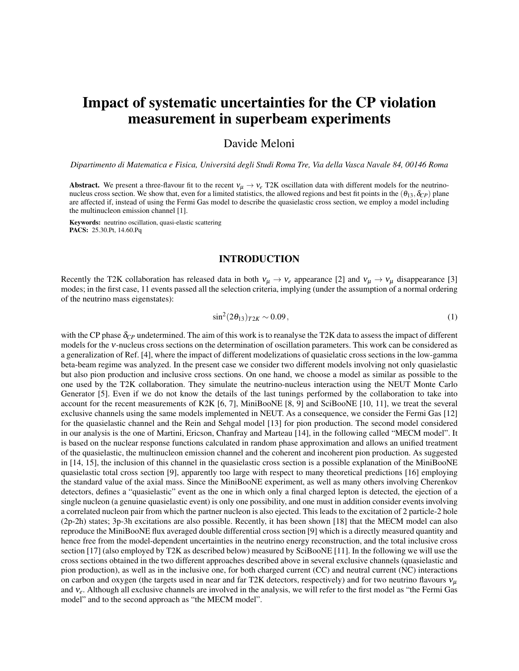# Impact of systematic uncertainties for the CP violation measurement in superbeam experiments

## Davide Meloni

*Dipartimento di Matematica e Fisica, Universitá degli Studi Roma Tre, Via della Vasca Navale 84, 00146 Roma*

Abstract. We present a three-flavour fit to the recent  $v_\mu \to v_e$  T2K oscillation data with different models for the neutrinonucleus cross section. We show that, even for a limited statistics, the allowed regions and best fit points in the  $(\theta_{13}, \delta_{CP})$  plane are affected if, instead of using the Fermi Gas model to describe the quasielastic cross section, we employ a model including the multinucleon emission channel [1].

Keywords: neutrino oscillation, quasi-elastic scattering PACS: 25.30.Pt, 14.60.Pq

#### INTRODUCTION

Recently the T2K collaboration has released data in both  $v_\mu \to v_e$  appearance [2] and  $v_\mu \to v_\mu$  disappearance [3] modes; in the first case, 11 events passed all the selection criteria, implying (under the assumption of a normal ordering of the neutrino mass eigenstates):

$$
\sin^2(2\theta_{13})_{T2K} \sim 0.09\,,\tag{1}
$$

with the CP phase  $\delta_{CP}$  undetermined. The aim of this work is to reanalyse the T2K data to assess the impact of different models for the <sup>ν</sup>-nucleus cross sections on the determination of oscillation parameters. This work can be considered as a generalization of Ref. [4], where the impact of different modelizations of quasielatic cross sections in the low-gamma beta-beam regime was analyzed. In the present case we consider two different models involving not only quasielastic but also pion production and inclusive cross sections. On one hand, we choose a model as similar as possible to the one used by the T2K collaboration. They simulate the neutrino-nucleus interaction using the NEUT Monte Carlo Generator [5]. Even if we do not know the details of the last tunings performed by the collaboration to take into account for the recent measurements of K2K [6, 7], MiniBooNE [8, 9] and SciBooNE [10, 11], we treat the several exclusive channels using the same models implemented in NEUT. As a consequence, we consider the Fermi Gas [12] for the quasielastic channel and the Rein and Sehgal model [13] for pion production. The second model considered in our analysis is the one of Martini, Ericson, Chanfray and Marteau [14], in the following called "MECM model". It is based on the nuclear response functions calculated in random phase approximation and allows an unified treatment of the quasielastic, the multinucleon emission channel and the coherent and incoherent pion production. As suggested in [14, 15], the inclusion of this channel in the quasielastic cross section is a possible explanation of the MiniBooNE quasielastic total cross section [9], apparently too large with respect to many theoretical predictions [16] employing the standard value of the axial mass. Since the MiniBooNE experiment, as well as many others involving Cherenkov detectors, defines a "quasielastic" event as the one in which only a final charged lepton is detected, the ejection of a single nucleon (a genuine quasielastic event) is only one possibility, and one must in addition consider events involving a correlated nucleon pair from which the partner nucleon is also ejected. This leads to the excitation of 2 particle-2 hole (2p-2h) states; 3p-3h excitations are also possible. Recently, it has been shown [18] that the MECM model can also reproduce the MiniBooNE flux averaged double differential cross section [9] which is a directly measured quantity and hence free from the model-dependent uncertainties in the neutrino energy reconstruction, and the total inclusive cross section [17] (also employed by T2K as described below) measured by SciBooNE [11]. In the following we will use the cross sections obtained in the two different approaches described above in several exclusive channels (quasielastic and pion production), as well as in the inclusive one, for both charged current (CC) and neutral current (NC) interactions on carbon and oxygen (the targets used in near and far T2K detectors, respectively) and for two neutrino flavours  $v_\mu$ and <sup>ν</sup>*e*. Although all exclusive channels are involved in the analysis, we will refer to the first model as "the Fermi Gas model" and to the second approach as "the MECM model".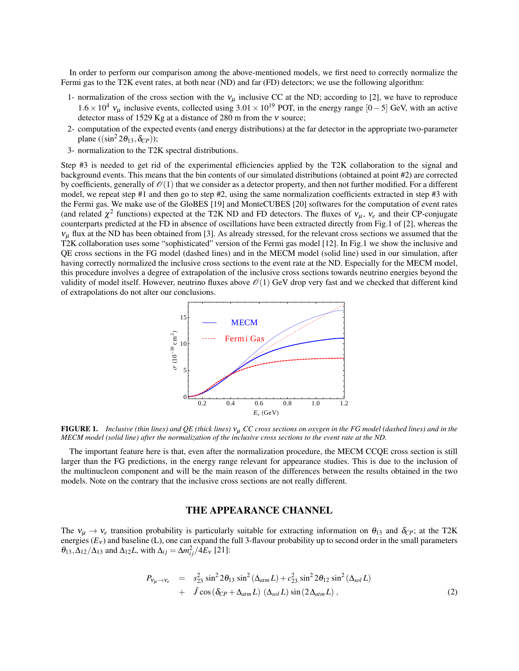In order to perform our comparison among the above-mentioned models, we first need to correctly normalize the Fermi gas to the T2K event rates, at both near (ND) and far (FD) detectors; we use the following algorithm:

- 1- normalization of the cross section with the  $v_{\mu}$  inclusive CC at the ND; according to [2], we have to reproduce 1.6  $\times$  10<sup>4</sup>  $v_\mu$  inclusive events, collected using 3.01  $\times$  10<sup>19</sup> POT, in the energy range [0−5] GeV, with an active detector mass of 1529 Kg at a distance of 280 m from the  $v$  source;
- 2- computation of the expected events (and energy distributions) at the far detector in the appropriate two-parameter plane  $((\sin^2 2\theta_{13}, \delta_{CP}))$ ;
- 3- normalization to the T2K spectral distributions.

Step #3 is needed to get rid of the experimental efficiencies applied by the T2K collaboration to the signal and background events. This means that the bin contents of our simulated distributions (obtained at point #2) are corrected by coefficients, generally of  $\mathcal{O}(1)$  that we consider as a detector property, and then not further modified. For a different model, we repeat step #1 and then go to step #2, using the same normalization coefficients extracted in step #3 with the Fermi gas. We make use of the GloBES [19] and MonteCUBES [20] softwares for the computation of event rates (and related  $\chi^2$  functions) expected at the T2K ND and FD detectors. The fluxes of  $v_\mu$ ,  $v_e$  and their CP-conjugate counterparts predicted at the FD in absence of oscillations have been extracted directly from Fig.1 of [2], whereas the  $v<sub>u</sub>$  flux at the ND has been obtained from [3]. As already stressed, for the relevant cross sections we assumed that the T2K collaboration uses some "sophisticated" version of the Fermi gas model [12]. In Fig.1 we show the inclusive and QE cross sections in the FG model (dashed lines) and in the MECM model (solid line) used in our simulation, after having correctly normalized the inclusive cross sections to the event rate at the ND. Especially for the MECM model, this procedure involves a degree of extrapolation of the inclusive cross sections towards neutrino energies beyond the validity of model itself. However, neutrino fluxes above  $\mathcal{O}(1)$  GeV drop very fast and we checked that different kind of extrapolations do not alter our conclusions.



FIGURE 1. *Inclusive (thin lines) and QE (thick lines)* <sup>ν</sup><sup>µ</sup> *CC cross sections on oxygen in the FG model (dashed lines) and in the MECM model (solid line) after the normalization of the inclusive cross sections to the event rate at the ND.*

The important feature here is that, even after the normalization procedure, the MECM CCQE cross section is still larger than the FG predictions, in the energy range relevant for appearance studies. This is due to the inclusion of the multinucleon component and will be the main reason of the differences between the results obtained in the two models. Note on the contrary that the inclusive cross sections are not really different.

#### THE APPEARANCE CHANNEL

The  $v_{\mu} \rightarrow v_e$  transition probability is particularly suitable for extracting information on  $\theta_{13}$  and  $\delta_{CP}$ ; at the T2K energies ( $E_v$ ) and baseline (L), one can expand the full 3-flavour probability up to second order in the small parameters  $\theta_{13}, \Delta_{12}/\Delta_{13}$  and  $\Delta_{12}L$ , with  $\Delta_{ij} = \Delta m_{ij}^2 / 4E_v$  [21]:

$$
P_{V\mu \to V_e} = s_{23}^2 \sin^2 2\theta_{13} \sin^2 (\Delta_{atm} L) + c_{23}^2 \sin^2 2\theta_{12} \sin^2 (\Delta_{sol} L)
$$
  
+  $\tilde{J} \cos (\delta_{CP} + \Delta_{atm} L) (\Delta_{sol} L) \sin (2\Delta_{atm} L)$ , (2)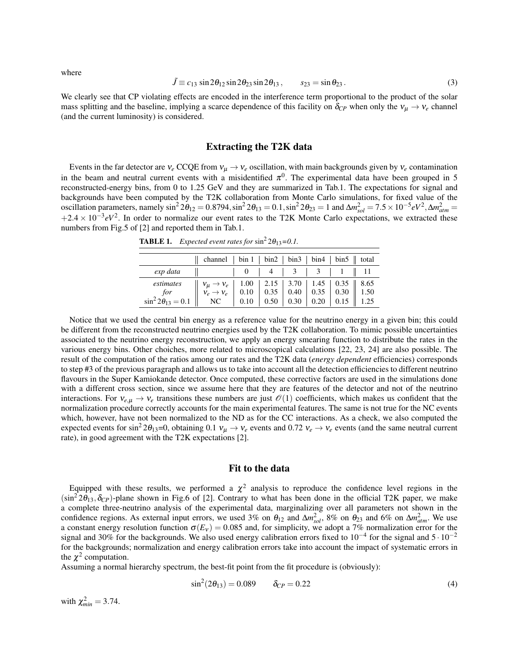where

$$
\tilde{J} \equiv c_{13} \sin 2\theta_{12} \sin 2\theta_{23} \sin 2\theta_{13}, \qquad s_{23} = \sin \theta_{23} \,. \tag{3}
$$

We clearly see that CP violating effects are encoded in the interference term proportional to the product of the solar mass splitting and the baseline, implying a scarce dependence of this facility on  $\delta_{CP}$  when only the  $v_\mu \to v_e$  channel (and the current luminosity) is considered.

#### Extracting the T2K data

Events in the far detector are  $v_e$  CCQE from  $v_\mu \to v_e$  oscillation, with main backgrounds given by  $v_e$  contamination in the beam and neutral current events with a misidentified  $\pi^0$ . The experimental data have been grouped in 5 reconstructed-energy bins, from 0 to 1.25 GeV and they are summarized in Tab.1. The expectations for signal and backgrounds have been computed by the T2K collaboration from Monte Carlo simulations, for fixed value of the oscillation parameters, namely  $\sin^2 2\theta_{12} = 0.8794$ ,  $\sin^2 2\theta_{13} = 0.1$ ,  $\sin^2 2\theta_{23} = 1$  and  $\Delta m_{sol}^2 = 7.5 \times 10^{-5} eV^2$ ,  $\Delta m_{atm}^2 = 7.5 \times 10^{-5} eV^2$  $+2.4 \times 10^{-3} eV^2$ . In order to normalize our event rates to the T2K Monte Carlo expectations, we extracted these numbers from Fig.5 of [2] and reported them in Tab.1.

|                                                                                                                                                                                                                                                                                                                                                                 | channel   bin 1   bin 2   bin 3   bin 4   bin 5    total |  |  |  |
|-----------------------------------------------------------------------------------------------------------------------------------------------------------------------------------------------------------------------------------------------------------------------------------------------------------------------------------------------------------------|----------------------------------------------------------|--|--|--|
| exp data                                                                                                                                                                                                                                                                                                                                                        | and the state                                            |  |  |  |
|                                                                                                                                                                                                                                                                                                                                                                 |                                                          |  |  |  |
| $\begin{array}{c c c c c c c c} \hline \textit{estimates} & \textit{v}_\mu \rightarrow \textit{v}_e & 1.00 & 2.15 & 3.70 & 1.45 & 0.35 & 8.65 \\ \textit{for} & \textit{for} & \textit{v}_e \rightarrow \textit{v}_e & 0.10 & 0.35 & 0.40 & 0.35 & 0.30 & 0.30 & 1.50 \\ \textit{sin}^2\,2\theta_{13} = 0.1 & \text{NC} & 0.10 & 0.50 & 0.30 & 0.20 & 0.15 & 1$ |                                                          |  |  |  |

**TABLE 1.** Expected event rates for  $\sin^2 2\theta_{13} = 0.1$ .

Notice that we used the central bin energy as a reference value for the neutrino energy in a given bin; this could be different from the reconstructed neutrino energies used by the T2K collaboration. To mimic possible uncertainties associated to the neutrino energy reconstruction, we apply an energy smearing function to distribute the rates in the various energy bins. Other choiches, more related to microscopical calculations [22, 23, 24] are also possible. The result of the computation of the ratios among our rates and the T2K data (*energy dependent* efficiencies) corresponds to step #3 of the previous paragraph and allows us to take into account all the detection efficiencies to different neutrino flavours in the Super Kamiokande detector. Once computed, these corrective factors are used in the simulations done with a different cross section, since we assume here that they are features of the detector and not of the neutrino interactions. For  $v_{e,\mu} \to v_e$  transitions these numbers are just  $\mathcal{O}(1)$  coefficients, which makes us confident that the normalization procedure correctly accounts for the main experimental features. The same is not true for the NC events which, however, have not been normalized to the ND as for the CC interactions. As a check, we also computed the expected events for sin<sup>2</sup> 2 $\theta_{13}$ =0, obtaining 0.1  $v_{\mu} \rightarrow v_e$  events and 0.72  $v_e \rightarrow v_e$  events (and the same neutral current rate), in good agreement with the T2K expectations [2].

#### Fit to the data

Equipped with these results, we performed a  $\chi^2$  analysis to reproduce the confidence level regions in the  $(\sin^2 2\theta_{13}, \delta_{CP})$ -plane shown in Fig.6 of [2]. Contrary to what has been done in the official T2K paper, we make a complete three-neutrino analysis of the experimental data, marginalizing over all parameters not shown in the confidence regions. As external input errors, we used 3% on  $\theta_{12}$  and  $\Delta m_{sol}^2$ , 8% on  $\theta_{23}$  and 6% on  $\Delta m_{atm}^2$ . We use a constant energy resolution function  $\sigma(E_v) = 0.085$  and, for simplicity, we adopt a 7% normalization error for the signal and 30% for the backgrounds. We also used energy calibration errors fixed to 10*−*<sup>4</sup> for the signal and 5 *·* <sup>10</sup>*−*<sup>2</sup> for the backgrounds; normalization and energy calibration errors take into account the impact of systematic errors in the  $\chi^2$  computation.

Assuming a normal hierarchy spectrum, the best-fit point from the fit procedure is (obviously):

$$
\sin^2(2\theta_{13}) = 0.089 \qquad \delta_{CP} = 0.22 \tag{4}
$$

with  $\chi^2_{min} = 3.74$ .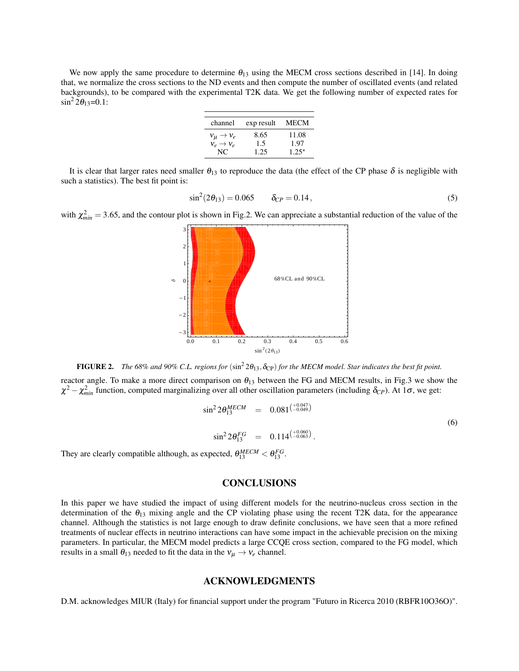We now apply the same procedure to determine  $\theta_{13}$  using the MECM cross sections described in [14]. In doing that, we normalize the cross sections to the ND events and then compute the number of oscillated events (and related backgrounds), to be compared with the experimental T2K data. We get the following number of expected rates for  $\sin^2 2\theta_{13} = 0.1$ :

| channel                   | exp result | MECM    |
|---------------------------|------------|---------|
| $v_{\mu} \rightarrow v_e$ | 8.65       | 11.08   |
| $V_e \rightarrow V_e$     | 1.5        | 1.97    |
| NC.                       | 1.25       | $1.25*$ |

It is clear that larger rates need smaller  $\theta_{13}$  to reproduce the data (the effect of the CP phase  $\delta$  is negligible with such a statistics). The best fit point is:

$$
\sin^2(2\theta_{13}) = 0.065 \qquad \delta_{CP} = 0.14, \tag{5}
$$

with  $\chi^2_{min} = 3.65$ , and the contour plot is shown in Fig.2. We can appreciate a substantial reduction of the value of the



FIGURE 2. The 68% and 90% C.L. regions for  $(\sin^2 2\theta_{13}, \delta_{CP})$  for the MECM model. Star indicates the best fit point.

reactor angle. To make a more direct comparison on  $\theta_{13}$  between the FG and MECM results, in Fig.3 we show the  $\chi^2 - \chi^2_{min}$  function, computed marginalizing over all other oscillation parameters (including  $\delta_{CP}$ ). At 1 $\sigma$ , we get:

$$
\sin^2 2\theta_{13}^{MECM} = 0.081^{\left(\frac{+0.047}{-0.049}\right)}
$$
\n
$$
\sin^2 2\theta_{13}^{FG} = 0.114^{\left(\frac{+0.060}{-0.063}\right)}.
$$
\nexpected  $\theta_{13}^{MECM} < \theta_{13}^{FG}$ 

They are clearly compatible although, as expected,  $\theta_{13}^{MECM}$  $\frac{MECM}{13} < \theta_{13}^{FG}.$ 

### **CONCLUSIONS**

In this paper we have studied the impact of using different models for the neutrino-nucleus cross section in the determination of the  $\theta_{13}$  mixing angle and the CP violating phase using the recent T2K data, for the appearance channel. Although the statistics is not large enough to draw definite conclusions, we have seen that a more refined treatments of nuclear effects in neutrino interactions can have some impact in the achievable precision on the mixing parameters. In particular, the MECM model predicts a large CCQE cross section, compared to the FG model, which results in a small  $\theta_{13}$  needed to fit the data in the  $v_\mu \to v_e$  channel.

#### ACKNOWLEDGMENTS

D.M. acknowledges MIUR (Italy) for financial support under the program "Futuro in Ricerca 2010 (RBFR10O36O)".